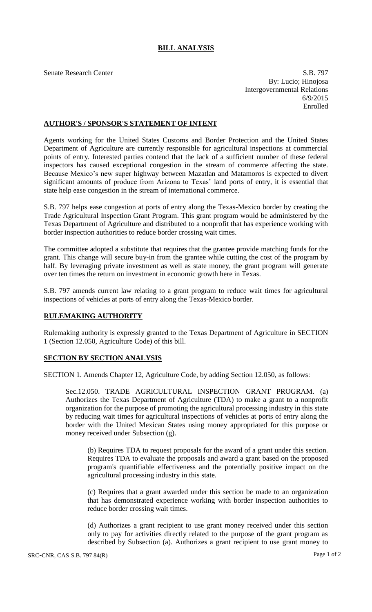## **BILL ANALYSIS**

Senate Research Center S.B. 797 By: Lucio; Hinojosa Intergovernmental Relations 6/9/2015 Enrolled

## **AUTHOR'S / SPONSOR'S STATEMENT OF INTENT**

Agents working for the United States Customs and Border Protection and the United States Department of Agriculture are currently responsible for agricultural inspections at commercial points of entry. Interested parties contend that the lack of a sufficient number of these federal inspectors has caused exceptional congestion in the stream of commerce affecting the state. Because Mexico's new super highway between Mazatlan and Matamoros is expected to divert significant amounts of produce from Arizona to Texas' land ports of entry, it is essential that state help ease congestion in the stream of international commerce.

S.B. 797 helps ease congestion at ports of entry along the Texas-Mexico border by creating the Trade Agricultural Inspection Grant Program. This grant program would be administered by the Texas Department of Agriculture and distributed to a nonprofit that has experience working with border inspection authorities to reduce border crossing wait times.

The committee adopted a substitute that requires that the grantee provide matching funds for the grant. This change will secure buy-in from the grantee while cutting the cost of the program by half. By leveraging private investment as well as state money, the grant program will generate over ten times the return on investment in economic growth here in Texas.

S.B. 797 amends current law relating to a grant program to reduce wait times for agricultural inspections of vehicles at ports of entry along the Texas-Mexico border.

## **RULEMAKING AUTHORITY**

Rulemaking authority is expressly granted to the Texas Department of Agriculture in SECTION 1 (Section 12.050, Agriculture Code) of this bill.

## **SECTION BY SECTION ANALYSIS**

SECTION 1. Amends Chapter 12, Agriculture Code, by adding Section 12.050, as follows:

Sec.12.050. TRADE AGRICULTURAL INSPECTION GRANT PROGRAM. (a) Authorizes the Texas Department of Agriculture (TDA) to make a grant to a nonprofit organization for the purpose of promoting the agricultural processing industry in this state by reducing wait times for agricultural inspections of vehicles at ports of entry along the border with the United Mexican States using money appropriated for this purpose or money received under Subsection (g).

(b) Requires TDA to request proposals for the award of a grant under this section. Requires TDA to evaluate the proposals and award a grant based on the proposed program's quantifiable effectiveness and the potentially positive impact on the agricultural processing industry in this state.

(c) Requires that a grant awarded under this section be made to an organization that has demonstrated experience working with border inspection authorities to reduce border crossing wait times.

(d) Authorizes a grant recipient to use grant money received under this section only to pay for activities directly related to the purpose of the grant program as described by Subsection (a). Authorizes a grant recipient to use grant money to